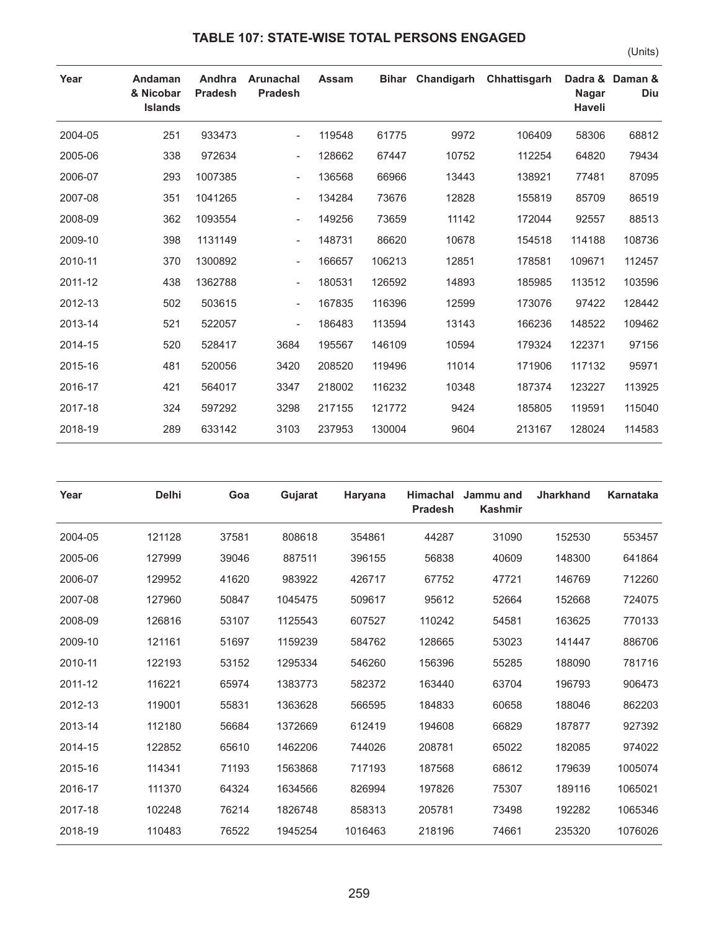## **TABLE 107: STATE-WISE TOTAL PERSONS ENGAGED**

**Year Andaman** 

**& Nicobar** 

**Andhra Arunachal** 

**Pradesh**

**Pradesh**

|        |       |                  |              |                               | (Units)                |
|--------|-------|------------------|--------------|-------------------------------|------------------------|
| Assam  |       | Bihar Chandigarh | Chhattisgarh | <b>Nagar</b><br><b>Haveli</b> | Dadra & Daman &<br>Diu |
| 119548 | 61775 | 9972             | 106409       | 58306                         | 68812                  |
| 128662 | 67447 | 10752            | 112254       | 64820                         | 79434                  |
| 136568 | 66966 | 13443            | 138921       | 77481                         | 87095                  |

|         | <b>Islands</b> |         |                          |        |        |       |        | Haveli |        |
|---------|----------------|---------|--------------------------|--------|--------|-------|--------|--------|--------|
| 2004-05 | 251            | 933473  | $\overline{\phantom{a}}$ | 119548 | 61775  | 9972  | 106409 | 58306  | 68812  |
| 2005-06 | 338            | 972634  | $\overline{\phantom{a}}$ | 128662 | 67447  | 10752 | 112254 | 64820  | 79434  |
| 2006-07 | 293            | 1007385 | $\overline{\phantom{a}}$ | 136568 | 66966  | 13443 | 138921 | 77481  | 87095  |
| 2007-08 | 351            | 1041265 | $\overline{\phantom{a}}$ | 134284 | 73676  | 12828 | 155819 | 85709  | 86519  |
| 2008-09 | 362            | 1093554 | $\overline{\phantom{a}}$ | 149256 | 73659  | 11142 | 172044 | 92557  | 88513  |
| 2009-10 | 398            | 1131149 | $\overline{\phantom{a}}$ | 148731 | 86620  | 10678 | 154518 | 114188 | 108736 |
| 2010-11 | 370            | 1300892 | ۰.                       | 166657 | 106213 | 12851 | 178581 | 109671 | 112457 |
| 2011-12 | 438            | 1362788 | $\overline{\phantom{a}}$ | 180531 | 126592 | 14893 | 185985 | 113512 | 103596 |
| 2012-13 | 502            | 503615  | $\overline{\phantom{a}}$ | 167835 | 116396 | 12599 | 173076 | 97422  | 128442 |
| 2013-14 | 521            | 522057  | $\overline{\phantom{a}}$ | 186483 | 113594 | 13143 | 166236 | 148522 | 109462 |
| 2014-15 | 520            | 528417  | 3684                     | 195567 | 146109 | 10594 | 179324 | 122371 | 97156  |
| 2015-16 | 481            | 520056  | 3420                     | 208520 | 119496 | 11014 | 171906 | 117132 | 95971  |
| 2016-17 | 421            | 564017  | 3347                     | 218002 | 116232 | 10348 | 187374 | 123227 | 113925 |
| 2017-18 | 324            | 597292  | 3298                     | 217155 | 121772 | 9424  | 185805 | 119591 | 115040 |
| 2018-19 | 289            | 633142  | 3103                     | 237953 | 130004 | 9604  | 213167 | 128024 | 114583 |
|         |                |         |                          |        |        |       |        |        |        |

| Year    | <b>Delhi</b> | Goa   | Gujarat | Haryana | Himachal<br><b>Pradesh</b> | Jammu and<br><b>Kashmir</b> | <b>Jharkhand</b> | Karnataka |
|---------|--------------|-------|---------|---------|----------------------------|-----------------------------|------------------|-----------|
| 2004-05 | 121128       | 37581 | 808618  | 354861  | 44287                      | 31090                       | 152530           | 553457    |
| 2005-06 | 127999       | 39046 | 887511  | 396155  | 56838                      | 40609                       | 148300           | 641864    |
| 2006-07 | 129952       | 41620 | 983922  | 426717  | 67752                      | 47721                       | 146769           | 712260    |
| 2007-08 | 127960       | 50847 | 1045475 | 509617  | 95612                      | 52664                       | 152668           | 724075    |
| 2008-09 | 126816       | 53107 | 1125543 | 607527  | 110242                     | 54581                       | 163625           | 770133    |
| 2009-10 | 121161       | 51697 | 1159239 | 584762  | 128665                     | 53023                       | 141447           | 886706    |
| 2010-11 | 122193       | 53152 | 1295334 | 546260  | 156396                     | 55285                       | 188090           | 781716    |
| 2011-12 | 116221       | 65974 | 1383773 | 582372  | 163440                     | 63704                       | 196793           | 906473    |
| 2012-13 | 119001       | 55831 | 1363628 | 566595  | 184833                     | 60658                       | 188046           | 862203    |
| 2013-14 | 112180       | 56684 | 1372669 | 612419  | 194608                     | 66829                       | 187877           | 927392    |
| 2014-15 | 122852       | 65610 | 1462206 | 744026  | 208781                     | 65022                       | 182085           | 974022    |
| 2015-16 | 114341       | 71193 | 1563868 | 717193  | 187568                     | 68612                       | 179639           | 1005074   |
| 2016-17 | 111370       | 64324 | 1634566 | 826994  | 197826                     | 75307                       | 189116           | 1065021   |
| 2017-18 | 102248       | 76214 | 1826748 | 858313  | 205781                     | 73498                       | 192282           | 1065346   |
| 2018-19 | 110483       | 76522 | 1945254 | 1016463 | 218196                     | 74661                       | 235320           | 1076026   |